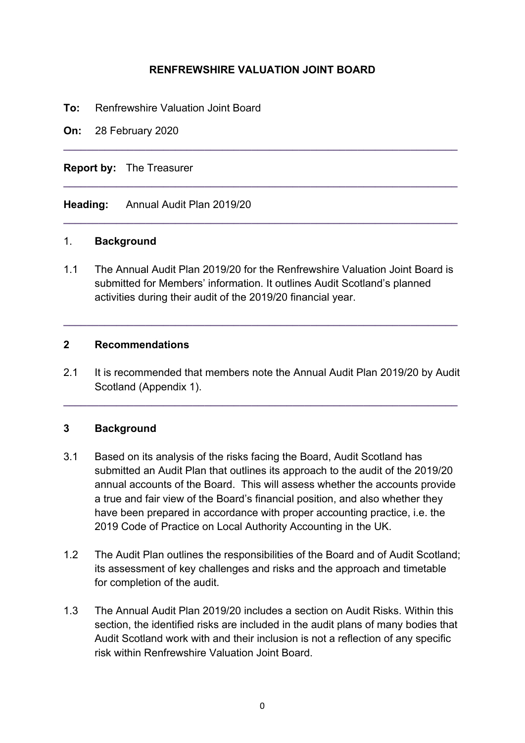#### **RENFREWSHIRE VALUATION JOINT BOARD**

**\_\_\_\_\_\_\_\_\_\_\_\_\_\_\_\_\_\_\_\_\_\_\_\_\_\_\_\_\_\_\_\_\_\_\_\_\_\_\_\_\_\_\_\_\_\_\_\_\_\_\_\_\_\_\_\_\_\_\_\_\_\_\_\_\_\_\_** 

**\_\_\_\_\_\_\_\_\_\_\_\_\_\_\_\_\_\_\_\_\_\_\_\_\_\_\_\_\_\_\_\_\_\_\_\_\_\_\_\_\_\_\_\_\_\_\_\_\_\_\_\_\_\_\_\_\_\_\_\_\_\_\_\_\_\_\_** 

**\_\_\_\_\_\_\_\_\_\_\_\_\_\_\_\_\_\_\_\_\_\_\_\_\_\_\_\_\_\_\_\_\_\_\_\_\_\_\_\_\_\_\_\_\_\_\_\_\_\_\_\_\_\_\_\_\_\_\_\_\_\_\_\_\_\_\_** 

**To:** Renfrewshire Valuation Joint Board

**On:** 28 February 2020

**Report by:** The Treasurer

**Heading:** Annual Audit Plan 2019/20

#### 1. **Background**

1.1 The Annual Audit Plan 2019/20 for the Renfrewshire Valuation Joint Board is submitted for Members' information. It outlines Audit Scotland's planned activities during their audit of the 2019/20 financial year.

**\_\_\_\_\_\_\_\_\_\_\_\_\_\_\_\_\_\_\_\_\_\_\_\_\_\_\_\_\_\_\_\_\_\_\_\_\_\_\_\_\_\_\_\_\_\_\_\_\_\_\_\_\_\_\_\_\_\_\_\_\_\_\_\_\_\_\_** 

#### **2 Recommendations**

2.1 It is recommended that members note the Annual Audit Plan 2019/20 by Audit Scotland (Appendix 1).

**\_\_\_\_\_\_\_\_\_\_\_\_\_\_\_\_\_\_\_\_\_\_\_\_\_\_\_\_\_\_\_\_\_\_\_\_\_\_\_\_\_\_\_\_\_\_\_\_\_\_\_\_\_\_\_\_\_\_\_\_\_\_\_\_\_\_\_** 

#### **3 Background**

- 3.1 Based on its analysis of the risks facing the Board, Audit Scotland has submitted an Audit Plan that outlines its approach to the audit of the 2019/20 annual accounts of the Board. This will assess whether the accounts provide a true and fair view of the Board's financial position, and also whether they have been prepared in accordance with proper accounting practice, i.e. the 2019 Code of Practice on Local Authority Accounting in the UK.
- 1.2 The Audit Plan outlines the responsibilities of the Board and of Audit Scotland; its assessment of key challenges and risks and the approach and timetable for completion of the audit.
- 1.3 The Annual Audit Plan 2019/20 includes a section on Audit Risks. Within this section, the identified risks are included in the audit plans of many bodies that Audit Scotland work with and their inclusion is not a reflection of any specific risk within Renfrewshire Valuation Joint Board.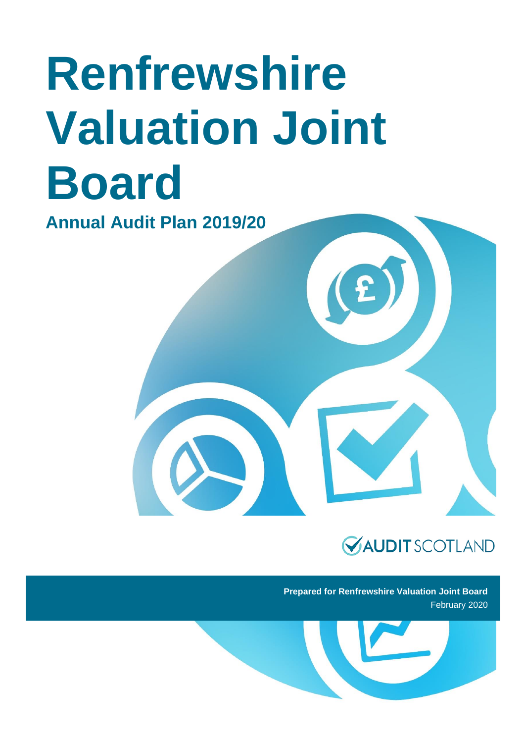# **Renfrewshire Valuation Joint Board**

**Annual Audit Plan 2019/20**

## **VAUDITSCOTLAND**

**Prepared for Renfrewshire Valuation Joint Board** February 2020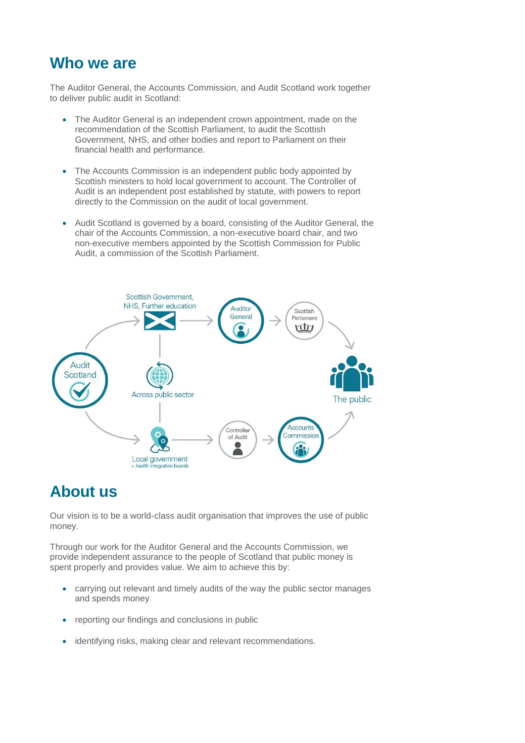### **Who we are**

The Auditor General, the Accounts Commission, and Audit Scotland work together to deliver public audit in Scotland:

- The Auditor General is an independent crown appointment, made on the recommendation of the Scottish Parliament, to audit the Scottish Government, NHS, and other bodies and report to Parliament on their financial health and performance.
- The Accounts Commission is an independent public body appointed by Scottish ministers to hold local government to account. The Controller of Audit is an independent post established by statute, with powers to report directly to the Commission on the audit of local government.
- Audit Scotland is governed by a board, consisting of the Auditor General, the chair of the Accounts Commission, a non-executive board chair, and two non-executive members appointed by the Scottish Commission for Public Audit, a commission of the Scottish Parliament.



### **About us**

Our vision is to be a world-class audit organisation that improves the use of public money.

Through our work for the Auditor General and the Accounts Commission, we provide independent assurance to the people of Scotland that public money is spent properly and provides value. We aim to achieve this by:

- carrying out relevant and timely audits of the way the public sector manages and spends money
- reporting our findings and conclusions in public
- identifying risks, making clear and relevant recommendations.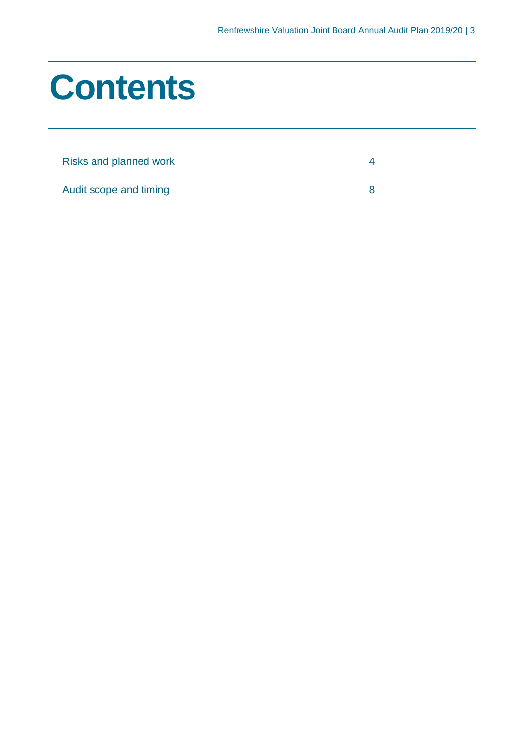## **Contents**

| Risks and planned work |  |
|------------------------|--|
| Audit scope and timing |  |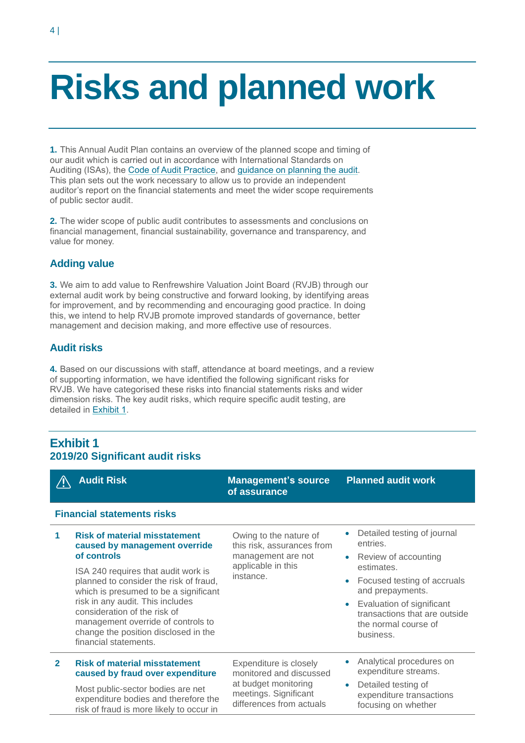## <span id="page-6-0"></span>**Risks and planned work**

**1.** This Annual Audit Plan contains an overview of the planned scope and timing of our audit which is carried out in accordance with International Standards on Auditing (ISAs), the [Code of Audit Practice,](http://www.audit-scotland.gov.uk/uploads/docs/report/2016/code_audit_practice_16.pdf) and [guidance on planning the audit.](https://www.audit-scotland.gov.uk/uploads/docs/um/pg_planning_audit_1920.pdf) This plan sets out the work necessary to allow us to provide an independent auditor's report on the financial statements and meet the wider scope requirements of public sector audit.

**2.** The wider scope of public audit contributes to assessments and conclusions on financial management, financial sustainability, governance and transparency, and value for money.

#### **Adding value**

**3.** We aim to add value to Renfrewshire Valuation Joint Board (RVJB) through our external audit work by being constructive and forward looking, by identifying areas for improvement, and by recommending and encouraging good practice. In doing this, we intend to help RVJB promote improved standards of governance, better management and decision making, and more effective use of resources.

#### **Audit risks**

<span id="page-6-1"></span>**4.** Based on our discussions with staff, attendance at board meetings, and a review of supporting information, we have identified the following significant risks for RVJB. We have categorised these risks into financial statements risks and wider dimension risks. The key audit risks, which require specific audit testing, are detailed in [Exhibit 1.](#page-6-1)

#### **Exhibit 1 2019/20 Significant audit risks**

|                                   | <b>Audit Risk</b>                                                                                                                                                                                                                                                                                                                                                                         | <b>Management's source</b><br>of assurance                                                                                     | <b>Planned audit work</b>                                                                                                                                                                                                           |
|-----------------------------------|-------------------------------------------------------------------------------------------------------------------------------------------------------------------------------------------------------------------------------------------------------------------------------------------------------------------------------------------------------------------------------------------|--------------------------------------------------------------------------------------------------------------------------------|-------------------------------------------------------------------------------------------------------------------------------------------------------------------------------------------------------------------------------------|
| <b>Financial statements risks</b> |                                                                                                                                                                                                                                                                                                                                                                                           |                                                                                                                                |                                                                                                                                                                                                                                     |
| 1                                 | <b>Risk of material misstatement</b><br>caused by management override<br>of controls<br>ISA 240 requires that audit work is<br>planned to consider the risk of fraud,<br>which is presumed to be a significant<br>risk in any audit. This includes<br>consideration of the risk of<br>management override of controls to<br>change the position disclosed in the<br>financial statements. | Owing to the nature of<br>this risk, assurances from<br>management are not<br>applicable in this<br>instance.                  | Detailed testing of journal<br>entries.<br>Review of accounting<br>estimates.<br>Focused testing of accruals<br>and prepayments.<br>Evaluation of significant<br>transactions that are outside<br>the normal course of<br>business. |
| $\overline{2}$                    | <b>Risk of material misstatement</b><br>caused by fraud over expenditure<br>Most public-sector bodies are net<br>expenditure bodies and therefore the<br>risk of fraud is more likely to occur in                                                                                                                                                                                         | Expenditure is closely<br>monitored and discussed<br>at budget monitoring<br>meetings. Significant<br>differences from actuals | Analytical procedures on<br>expenditure streams.<br>Detailed testing of<br>expenditure transactions<br>focusing on whether                                                                                                          |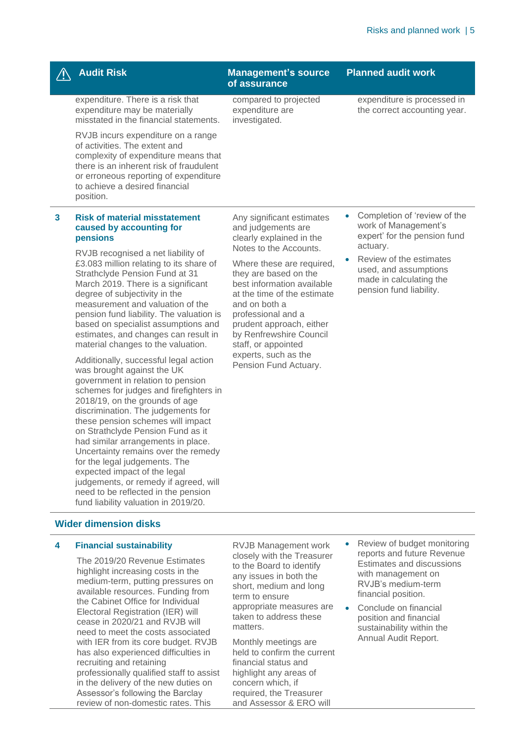|   | <b>Audit Risk</b>                                                                                                                                                                                                                                                                                                                                                                                                                                                                                                                                                          | <b>Management's source</b><br>of assurance                                                                                                                                                                                                                                                                                                                                                     | <b>Planned audit work</b>                                                                                          |
|---|----------------------------------------------------------------------------------------------------------------------------------------------------------------------------------------------------------------------------------------------------------------------------------------------------------------------------------------------------------------------------------------------------------------------------------------------------------------------------------------------------------------------------------------------------------------------------|------------------------------------------------------------------------------------------------------------------------------------------------------------------------------------------------------------------------------------------------------------------------------------------------------------------------------------------------------------------------------------------------|--------------------------------------------------------------------------------------------------------------------|
|   | expenditure. There is a risk that<br>expenditure may be materially<br>misstated in the financial statements.                                                                                                                                                                                                                                                                                                                                                                                                                                                               | compared to projected<br>expenditure are<br>investigated.                                                                                                                                                                                                                                                                                                                                      | expenditure is processed in<br>the correct accounting year.                                                        |
|   | RVJB incurs expenditure on a range<br>of activities. The extent and<br>complexity of expenditure means that<br>there is an inherent risk of fraudulent<br>or erroneous reporting of expenditure<br>to achieve a desired financial<br>position.                                                                                                                                                                                                                                                                                                                             |                                                                                                                                                                                                                                                                                                                                                                                                |                                                                                                                    |
| 3 | <b>Risk of material misstatement</b><br>caused by accounting for<br>pensions                                                                                                                                                                                                                                                                                                                                                                                                                                                                                               | Any significant estimates<br>and judgements are<br>clearly explained in the<br>Notes to the Accounts.<br>Where these are required,<br>they are based on the<br>best information available<br>at the time of the estimate<br>and on both a<br>professional and a<br>prudent approach, either<br>by Renfrewshire Council<br>staff, or appointed<br>experts, such as the<br>Pension Fund Actuary. | Completion of 'review of the<br>$\bullet$<br>work of Management's<br>expert' for the pension fund                  |
|   | RVJB recognised a net liability of<br>£3.083 million relating to its share of<br>Strathclyde Pension Fund at 31<br>March 2019. There is a significant<br>degree of subjectivity in the<br>measurement and valuation of the<br>pension fund liability. The valuation is<br>based on specialist assumptions and<br>estimates, and changes can result in<br>material changes to the valuation.                                                                                                                                                                                |                                                                                                                                                                                                                                                                                                                                                                                                | actuary.<br>Review of the estimates<br>used, and assumptions<br>made in calculating the<br>pension fund liability. |
|   | Additionally, successful legal action<br>was brought against the UK<br>government in relation to pension<br>schemes for judges and firefighters in<br>2018/19, on the grounds of age<br>discrimination. The judgements for<br>these pension schemes will impact<br>on Strathclyde Pension Fund as it<br>had similar arrangements in place.<br>Uncertainty remains over the remedy<br>for the legal judgements. The<br>expected impact of the legal<br>judgements, or remedy if agreed, will<br>need to be reflected in the pension<br>fund liability valuation in 2019/20. |                                                                                                                                                                                                                                                                                                                                                                                                |                                                                                                                    |
|   | <b>Wider dimension disks</b>                                                                                                                                                                                                                                                                                                                                                                                                                                                                                                                                               |                                                                                                                                                                                                                                                                                                                                                                                                |                                                                                                                    |
| 4 | <b>Financial sustainability</b><br>The 2019/20 Revenue Estimates                                                                                                                                                                                                                                                                                                                                                                                                                                                                                                           | <b>RVJB Management work</b><br>closely with the Treasurer<br>$h \circ D \circ \circ \circ d$ to identify                                                                                                                                                                                                                                                                                       | Review of budget monitoring<br>reports and future Revenue<br>Estimates and discussions                             |

highlight increasing costs in the medium-term, putting pressures on available resources. Funding from the Cabinet Office for Individual Electoral Registration (IER) will cease in 2020/21 and RVJB will need to meet the costs associated with IER from its core budget. RVJB has also experienced difficulties in recruiting and retaining professionally qualified staff to assist in the delivery of the new duties on Assessor's following the Barclay review of non-domestic rates. This

to the Board to identify any issues in both the short, medium and long term to ensure appropriate measures are taken to address these matters.

Monthly meetings are held to confirm the current financial status and highlight any areas of concern which, if required, the Treasurer and Assessor & ERO will

- Estimates and discussions with management on RVJB's medium-term financial position.
- Conclude on financial position and financial sustainability within the Annual Audit Report.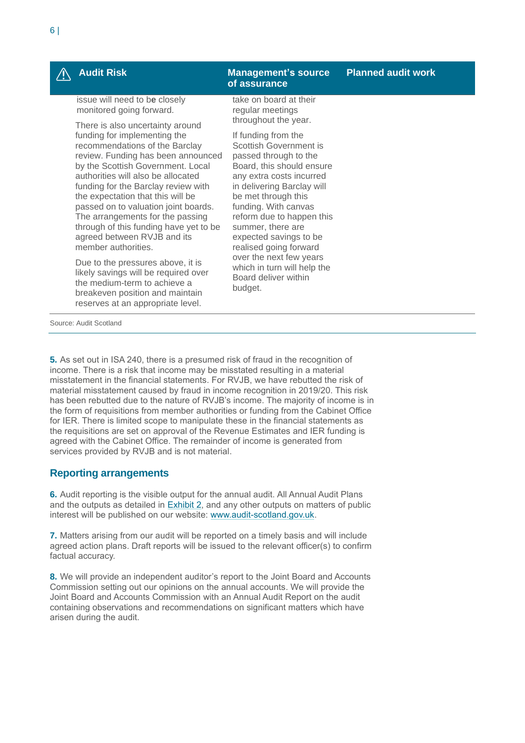issue will need to b**e** closely monitored going forward.

There is also uncertainty around funding for implementing the recommendations of the Barclay review. Funding has been announced by the Scottish Government. Local authorities will also be allocated funding for the Barclay review with the expectation that this will be passed on to valuation joint boards. The arrangements for the passing through of this funding have yet to be agreed between RVJB and its member authorities.

Due to the pressures above, it is likely savings will be required over the medium-term to achieve a breakeven position and maintain reserves at an appropriate level.

#### **Audit Risk Management's source of assurance**

take on board at their regular meetings throughout the year.

If funding from the Scottish Government is passed through to the Board, this should ensure any extra costs incurred in delivering Barclay will be met through this funding. With canvas reform due to happen this summer, there are expected savings to be realised going forward over the next few years which in turn will help the Board deliver within budget.

Source: Audit Scotland

**5.** As set out in ISA 240, there is a presumed risk of fraud in the recognition of income. There is a risk that income may be misstated resulting in a material misstatement in the financial statements. For RVJB, we have rebutted the risk of material misstatement caused by fraud in income recognition in 2019/20. This risk has been rebutted due to the nature of RVJB's income. The majority of income is in the form of requisitions from member authorities or funding from the Cabinet Office for IER. There is limited scope to manipulate these in the financial statements as the requisitions are set on approval of the Revenue Estimates and IER funding is agreed with the Cabinet Office. The remainder of income is generated from services provided by RVJB and is not material.

#### **Reporting arrangements**

**6.** Audit reporting is the visible output for the annual audit. All Annual Audit Plans and the outputs as detailed in [Exhibit 2,](#page-9-0) and any other outputs on matters of public interest will be published on our website: [www.audit-scotland.gov.uk.](http://www.audit-scotland.gov.uk/)

**7.** Matters arising from our audit will be reported on a timely basis and will include agreed action plans. Draft reports will be issued to the relevant officer(s) to confirm factual accuracy.

**8.** We will provide an independent auditor's report to the Joint Board and Accounts Commission setting out our opinions on the annual accounts. We will provide the Joint Board and Accounts Commission with an Annual Audit Report on the audit containing observations and recommendations on significant matters which have arisen during the audit.

#### **Planned audit work**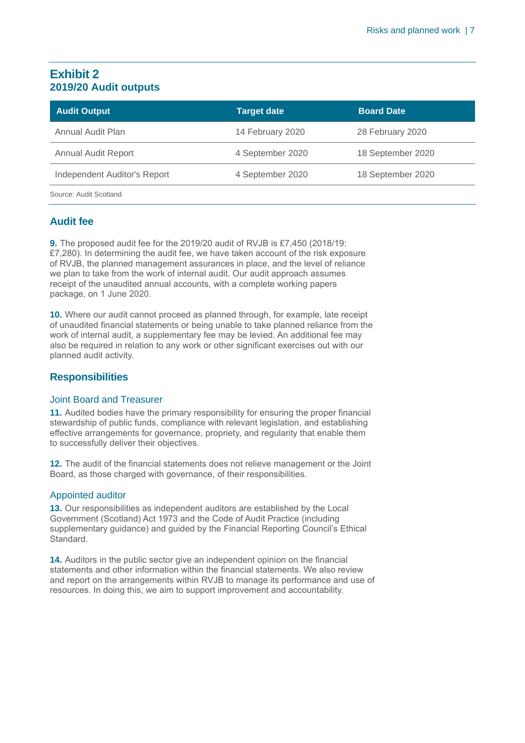#### <span id="page-9-0"></span>**Exhibit 2 2019/20 Audit outputs**

| <b>Audit Output</b>          | <b>Target date</b> | <b>Board Date</b> |
|------------------------------|--------------------|-------------------|
| Annual Audit Plan            | 14 February 2020   | 28 February 2020  |
| <b>Annual Audit Report</b>   | 4 September 2020   | 18 September 2020 |
| Independent Auditor's Report | 4 September 2020   | 18 September 2020 |
| Source: Audit Scotland       |                    |                   |

#### **Audit fee**

**9.** The proposed audit fee for the 2019/20 audit of RVJB is £7,450 (2018/19: £7,280). In determining the audit fee, we have taken account of the risk exposure of RVJB, the planned management assurances in place, and the level of reliance we plan to take from the work of internal audit. Our audit approach assumes receipt of the unaudited annual accounts, with a complete working papers package, on 1 June 2020.

**10.** Where our audit cannot proceed as planned through, for example, late receipt of unaudited financial statements or being unable to take planned reliance from the work of internal audit, a supplementary fee may be levied. An additional fee may also be required in relation to any work or other significant exercises out with our planned audit activity.

#### **Responsibilities**

#### Joint Board and Treasurer

**11.** Audited bodies have the primary responsibility for ensuring the proper financial stewardship of public funds, compliance with relevant legislation, and establishing effective arrangements for governance, propriety, and regularity that enable them to successfully deliver their objectives.

**12.** The audit of the financial statements does not relieve management or the Joint Board, as those charged with governance, of their responsibilities.

#### Appointed auditor

**13.** Our responsibilities as independent auditors are established by the Local Government (Scotland) Act 1973 and the Code of Audit Practice (including supplementary guidance) and guided by the Financial Reporting Council's Ethical Standard.

**14.** Auditors in the public sector give an independent opinion on the financial statements and other information within the financial statements. We also review and report on the arrangements within RVJB to manage its performance and use of resources. In doing this, we aim to support improvement and accountability.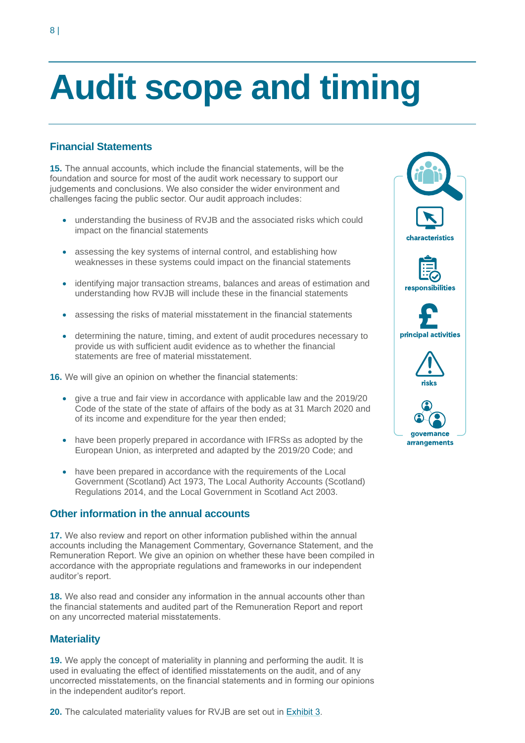## <span id="page-10-0"></span>**Audit scope and timing**

#### **Financial Statements**

**15.** The annual accounts, which include the financial statements, will be the foundation and source for most of the audit work necessary to support our judgements and conclusions. We also consider the wider environment and challenges facing the public sector. Our audit approach includes:

- understanding the business of RVJB and the associated risks which could impact on the financial statements
- assessing the key systems of internal control, and establishing how weaknesses in these systems could impact on the financial statements
- identifying major transaction streams, balances and areas of estimation and understanding how RVJB will include these in the financial statements
- assessing the risks of material misstatement in the financial statements
- determining the nature, timing, and extent of audit procedures necessary to provide us with sufficient audit evidence as to whether the financial statements are free of material misstatement.
- **16.** We will give an opinion on whether the financial statements:
	- give a true and fair view in accordance with applicable law and the 2019/20 Code of the state of the state of affairs of the body as at 31 March 2020 and of its income and expenditure for the year then ended;
	- have been properly prepared in accordance with IFRSs as adopted by the European Union, as interpreted and adapted by the 2019/20 Code; and
	- have been prepared in accordance with the requirements of the Local Government (Scotland) Act 1973, The Local Authority Accounts (Scotland) Regulations 2014, and the Local Government in Scotland Act 2003.

#### **Other information in the annual accounts**

**17.** We also review and report on other information published within the annual accounts including the Management Commentary, Governance Statement, and the Remuneration Report. We give an opinion on whether these have been compiled in accordance with the appropriate regulations and frameworks in our independent auditor's report.

**18.** We also read and consider any information in the annual accounts other than the financial statements and audited part of the Remuneration Report and report on any uncorrected material misstatements.

#### **Materiality**

**19.** We apply the concept of materiality in planning and performing the audit. It is used in evaluating the effect of identified misstatements on the audit, and of any uncorrected misstatements, on the financial statements and in forming our opinions in the independent auditor's report.

**20.** The calculated materiality values for RVJB are set out i[n Exhibit 3.](#page-11-0)

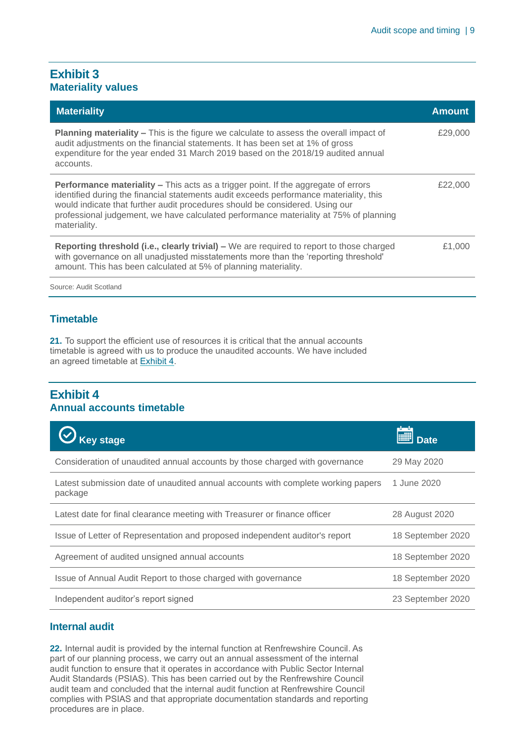#### <span id="page-11-0"></span>**Exhibit 3 Materiality values**

| <b>Materiality</b>                                                                                                                                                                                                                                                                                                                                                           | <b>Amount</b> |
|------------------------------------------------------------------------------------------------------------------------------------------------------------------------------------------------------------------------------------------------------------------------------------------------------------------------------------------------------------------------------|---------------|
| <b>Planning materiality – This is the figure we calculate to assess the overall impact of</b><br>audit adjustments on the financial statements. It has been set at 1% of gross<br>expenditure for the year ended 31 March 2019 based on the 2018/19 audited annual<br>accounts.                                                                                              | £29,000       |
| <b>Performance materiality – This acts as a trigger point. If the aggregate of errors</b><br>identified during the financial statements audit exceeds performance materiality, this<br>would indicate that further audit procedures should be considered. Using our<br>professional judgement, we have calculated performance materiality at 75% of planning<br>materiality. | £22.000       |
| <b>Reporting threshold (i.e., clearly trivial)</b> – We are required to report to those charged<br>with governance on all unadjusted misstatements more than the 'reporting threshold'<br>amount. This has been calculated at 5% of planning materiality.                                                                                                                    | £1,000        |
| Source: Audit Scotland                                                                                                                                                                                                                                                                                                                                                       |               |

#### **Timetable**

**21.** To support the efficient use of resources it is critical that the annual accounts timetable is agreed with us to produce the unaudited accounts. We have included an agreed timetable at [Exhibit 4.](#page-11-1)

#### <span id="page-11-1"></span>**Exhibit 4 Annual accounts timetable**

| <b>Key stage</b>                                                                            | Date              |
|---------------------------------------------------------------------------------------------|-------------------|
| Consideration of unaudited annual accounts by those charged with governance                 | 29 May 2020       |
| Latest submission date of unaudited annual accounts with complete working papers<br>package | 1 June 2020       |
| Latest date for final clearance meeting with Treasurer or finance officer                   | 28 August 2020    |
| Issue of Letter of Representation and proposed independent auditor's report                 | 18 September 2020 |
| Agreement of audited unsigned annual accounts                                               | 18 September 2020 |
| Issue of Annual Audit Report to those charged with governance                               | 18 September 2020 |
| Independent auditor's report signed                                                         | 23 September 2020 |

#### **Internal audit**

**22.** Internal audit is provided by the internal function at Renfrewshire Council. As part of our planning process, we carry out an annual assessment of the internal audit function to ensure that it operates in accordance with Public Sector Internal Audit Standards (PSIAS). This has been carried out by the Renfrewshire Council audit team and concluded that the internal audit function at Renfrewshire Council complies with PSIAS and that appropriate documentation standards and reporting procedures are in place.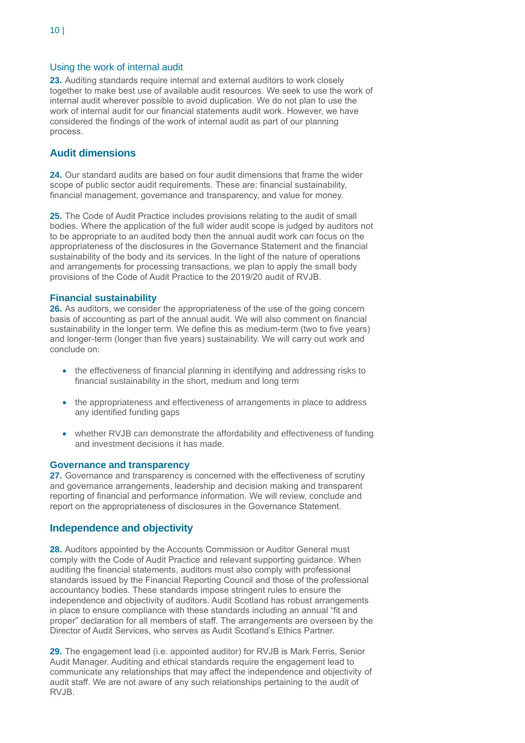#### Using the work of internal audit

**23.** Auditing standards require internal and external auditors to work closely together to make best use of available audit resources. We seek to use the work of internal audit wherever possible to avoid duplication. We do not plan to use the work of internal audit for our financial statements audit work. However, we have considered the findings of the work of internal audit as part of our planning process.

#### **Audit dimensions**

**24.** Our standard audits are based on four audit dimensions that frame the wider scope of public sector audit requirements. These are: financial sustainability, financial management, governance and transparency, and value for money.

**25.** The Code of Audit Practice includes provisions relating to the audit of small bodies. Where the application of the full wider audit scope is judged by auditors not to be appropriate to an audited body then the annual audit work can focus on the appropriateness of the disclosures in the Governance Statement and the financial sustainability of the body and its services. In the light of the nature of operations and arrangements for processing transactions, we plan to apply the small body provisions of the Code of Audit Practice to the 2019/20 audit of RVJB.

#### **Financial sustainability**

**26.** As auditors, we consider the appropriateness of the use of the going concern basis of accounting as part of the annual audit. We will also comment on financial sustainability in the longer term. We define this as medium-term (two to five years) and longer-term (longer than five years) sustainability. We will carry out work and conclude on:

- the effectiveness of financial planning in identifying and addressing risks to financial sustainability in the short, medium and long term
- the appropriateness and effectiveness of arrangements in place to address any identified funding gaps
- whether RVJB can demonstrate the affordability and effectiveness of funding and investment decisions it has made.

#### **Governance and transparency**

**27.** Governance and transparency is concerned with the effectiveness of scrutiny and governance arrangements, leadership and decision making and transparent reporting of financial and performance information. We will review, conclude and report on the appropriateness of disclosures in the Governance Statement.

#### **Independence and objectivity**

**28.** Auditors appointed by the Accounts Commission or Auditor General must comply with the Code of Audit Practice and relevant supporting guidance. When auditing the financial statements, auditors must also comply with professional standards issued by the Financial Reporting Council and those of the professional accountancy bodies. These standards impose stringent rules to ensure the independence and objectivity of auditors. Audit Scotland has robust arrangements in place to ensure compliance with these standards including an annual "fit and proper" declaration for all members of staff. The arrangements are overseen by the Director of Audit Services, who serves as Audit Scotland's Ethics Partner.

**29.** The engagement lead (i.e. appointed auditor) for RVJB is Mark Ferris, Senior Audit Manager. Auditing and ethical standards require the engagement lead to communicate any relationships that may affect the independence and objectivity of audit staff. We are not aware of any such relationships pertaining to the audit of RV.IB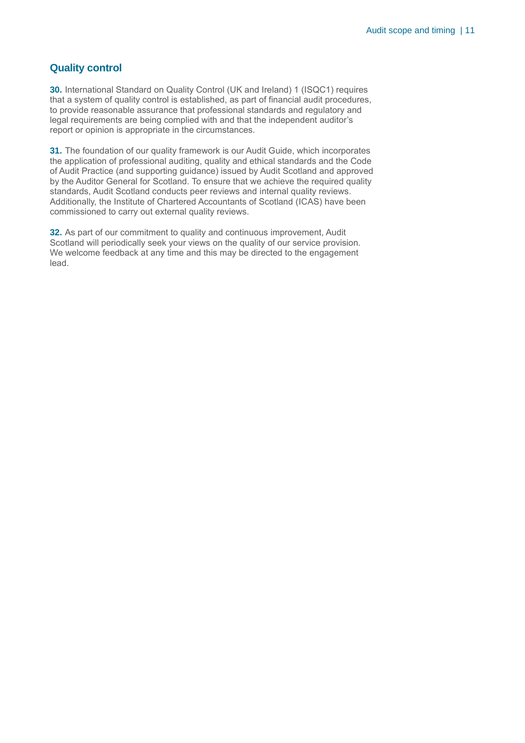#### **Quality control**

**30.** International Standard on Quality Control (UK and Ireland) 1 (ISQC1) requires that a system of quality control is established, as part of financial audit procedures, to provide reasonable assurance that professional standards and regulatory and legal requirements are being complied with and that the independent auditor's report or opinion is appropriate in the circumstances.

**31.** The foundation of our quality framework is our Audit Guide, which incorporates the application of professional auditing, quality and ethical standards and the Code of Audit Practice (and supporting guidance) issued by Audit Scotland and approved by the Auditor General for Scotland. To ensure that we achieve the required quality standards, Audit Scotland conducts peer reviews and internal quality reviews. Additionally, the Institute of Chartered Accountants of Scotland (ICAS) have been commissioned to carry out external quality reviews.

**32.** As part of our commitment to quality and continuous improvement, Audit Scotland will periodically seek your views on the quality of our service provision. We welcome feedback at any time and this may be directed to the engagement lead.